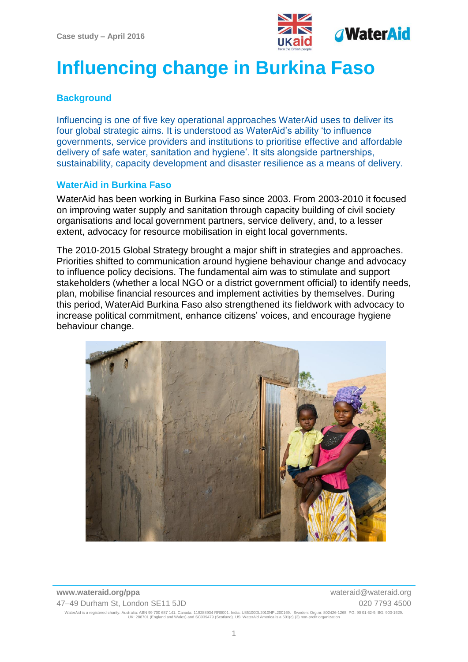

# **Influencing change in Burkina Faso**

# **Background**

Influencing is one of five key operational approaches WaterAid uses to deliver its four global strategic aims. It is understood as WaterAid's ability 'to influence governments, service providers and institutions to prioritise effective and affordable delivery of safe water, sanitation and hygiene'. It sits alongside partnerships, sustainability, capacity development and disaster resilience as a means of delivery.

### **WaterAid in Burkina Faso**

WaterAid has been working in Burkina Faso since 2003. From 2003-2010 it focused on improving water supply and sanitation through capacity building of civil society organisations and local government partners, service delivery, and, to a lesser extent, advocacy for resource mobilisation in eight local governments.

The 2010-2015 Global Strategy brought a major shift in strategies and approaches. Priorities shifted to communication around hygiene behaviour change and advocacy to influence policy decisions. The fundamental aim was to stimulate and support stakeholders (whether a local NGO or a district government official) to identify needs, plan, mobilise financial resources and implement activities by themselves. During this period, WaterAid Burkina Faso also strengthened its fieldwork with advocacy to increase political commitment, enhance citizens' voices, and encourage hygiene behaviour change.

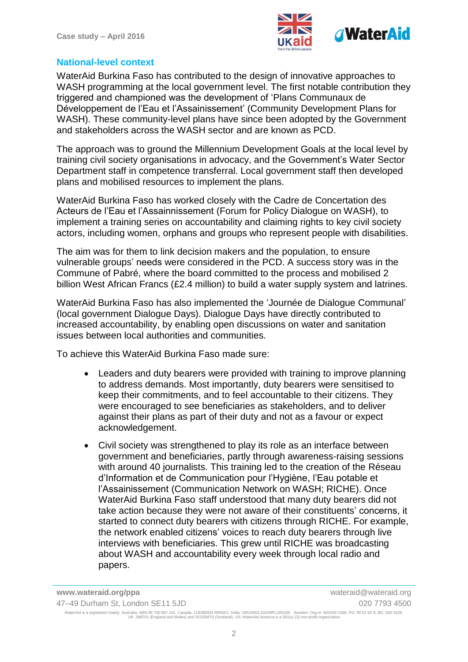

### **National-level context**

WaterAid Burkina Faso has contributed to the design of innovative approaches to WASH programming at the local government level. The first notable contribution they triggered and championed was the development of 'Plans Communaux de Développement de l'Eau et l'Assainissement' (Community Development Plans for WASH). These community-level plans have since been adopted by the Government and stakeholders across the WASH sector and are known as PCD.

The approach was to ground the Millennium Development Goals at the local level by training civil society organisations in advocacy, and the Government's Water Sector Department staff in competence transferral. Local government staff then developed plans and mobilised resources to implement the plans.

WaterAid Burkina Faso has worked closely with the Cadre de Concertation des Acteurs de l'Eau et l'Assainnissement (Forum for Policy Dialogue on WASH), to implement a training series on accountability and claiming rights to key civil society actors, including women, orphans and groups who represent people with disabilities.

The aim was for them to link decision makers and the population, to ensure vulnerable groups' needs were considered in the PCD. A success story was in the Commune of Pabré, where the board committed to the process and mobilised 2 billion West African Francs (£2.4 million) to build a water supply system and latrines.

WaterAid Burkina Faso has also implemented the 'Journée de Dialogue Communal' (local government Dialogue Days). Dialogue Days have directly contributed to increased accountability, by enabling open discussions on water and sanitation issues between local authorities and communities.

To achieve this WaterAid Burkina Faso made sure:

- Leaders and duty bearers were provided with training to improve planning to address demands. Most importantly, duty bearers were sensitised to keep their commitments, and to feel accountable to their citizens. They were encouraged to see beneficiaries as stakeholders, and to deliver against their plans as part of their duty and not as a favour or expect acknowledgement.
- Civil society was strengthened to play its role as an interface between government and beneficiaries, partly through awareness-raising sessions with around 40 journalists. This training led to the creation of the Réseau d'Information et de Communication pour l'Hygiène, l'Eau potable et l'Assainissement (Communication Network on WASH; RICHE). Once WaterAid Burkina Faso staff understood that many duty bearers did not take action because they were not aware of their constituents' concerns, it started to connect duty bearers with citizens through RICHE. For example, the network enabled citizens' voices to reach duty bearers through live interviews with beneficiaries. This grew until RICHE was broadcasting about WASH and accountability every week through local radio and papers.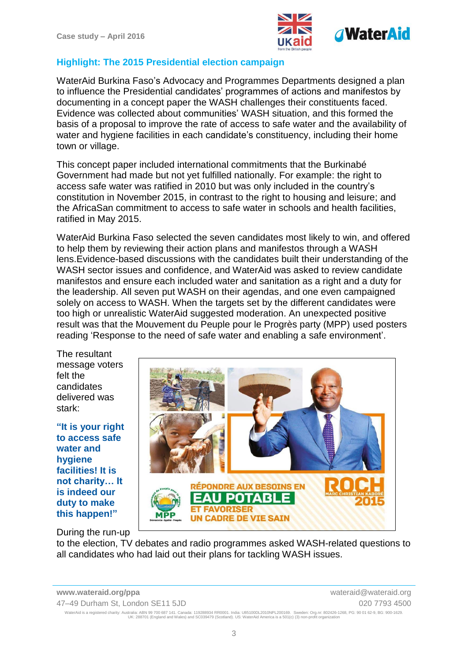

# **Highlight: The 2015 Presidential election campaign**

WaterAid Burkina Faso's Advocacy and Programmes Departments designed a plan to influence the Presidential candidates' programmes of actions and manifestos by documenting in a concept paper the WASH challenges their constituents faced. Evidence was collected about communities' WASH situation, and this formed the basis of a proposal to improve the rate of access to safe water and the availability of water and hygiene facilities in each candidate's constituency, including their home town or village.

This concept paper included international commitments that the Burkinabé Government had made but not yet fulfilled nationally. For example: the right to access safe water was ratified in 2010 but was only included in the country's constitution in November 2015, in contrast to the right to housing and leisure; and the AfricaSan commitment to access to safe water in schools and health facilities, ratified in May 2015.

WaterAid Burkina Faso selected the seven candidates most likely to win, and offered to help them by reviewing their action plans and manifestos through a WASH lens.Evidence-based discussions with the candidates built their understanding of the WASH sector issues and confidence, and WaterAid was asked to review candidate manifestos and ensure each included water and sanitation as a right and a duty for the leadership. All seven put WASH on their agendas, and one even campaigned solely on access to WASH. When the targets set by the different candidates were too high or unrealistic WaterAid suggested moderation. An unexpected positive result was that the Mouvement du Peuple pour le Progrès party (MPP) used posters reading 'Response to the need of safe water and enabling a safe environment'.

The resultant message voters felt the candidates delivered was stark:

**"It is your right to access safe water and hygiene facilities! It is not charity… It is indeed our duty to make this happen!"**



## During the run-up

to the election, TV debates and radio programmes asked WASH-related questions to all candidates who had laid out their plans for tackling WASH issues.